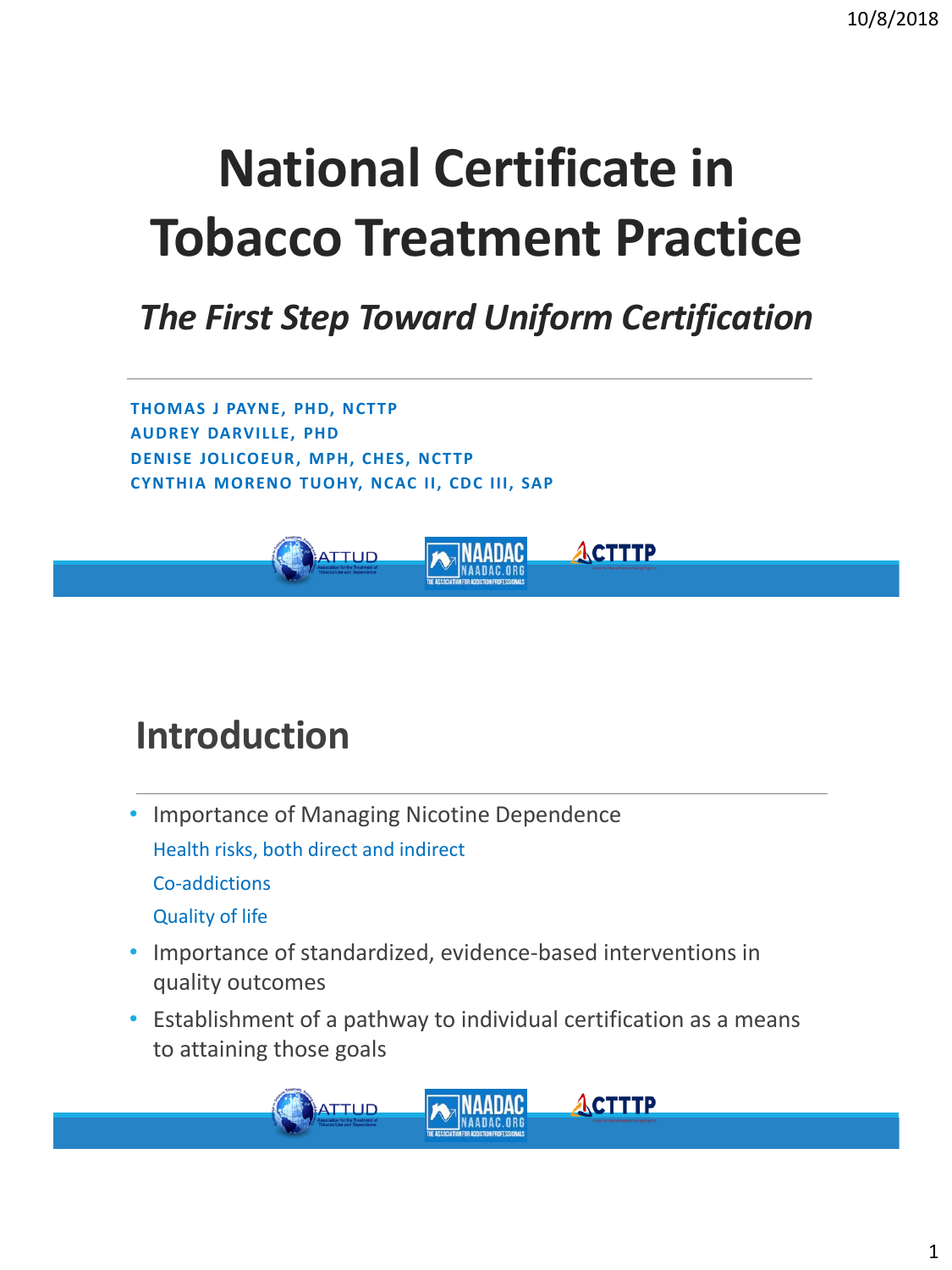# **National Certificate in Tobacco Treatment Practice**

#### *The First Step Toward Uniform Certification*

**ACTTTP** 

**ACTTTP** 

**THOMAS J PAYNE, PHD, NCTTP AUDREY DARVILLE, PHD DENISE JOLICOEUR, MPH, CHES, NCTTP CYNTHIA MORENO TUOHY, NCAC II, CDC III, SAP**

**TTUD** 

### **Introduction**

Quality of life

- Importance of Managing Nicotine Dependence Health risks, both direct and indirect Co-addictions
- Importance of standardized, evidence-based interventions in quality outcomes
- Establishment of a pathway to individual certification as a means to attaining those goals

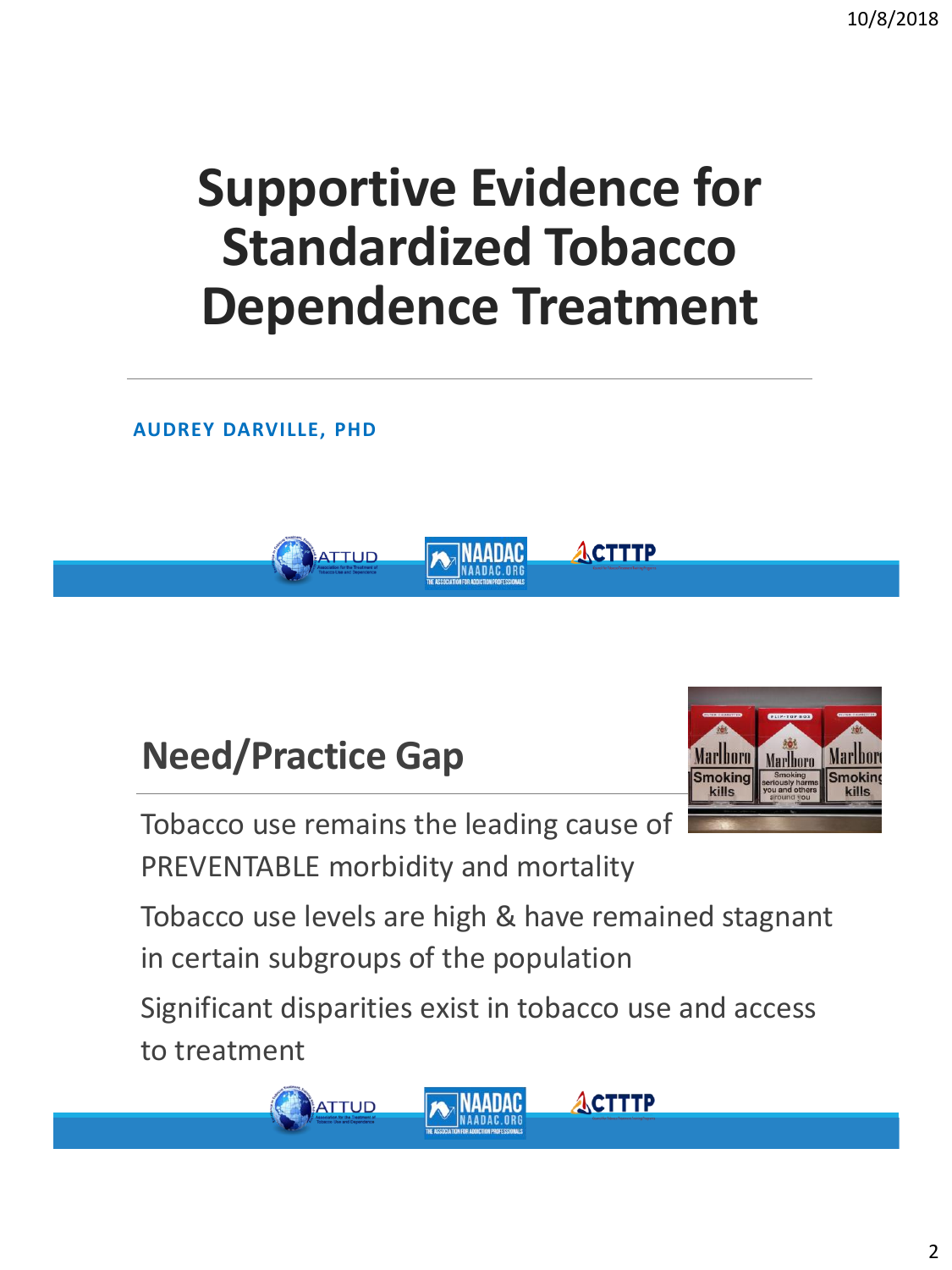# **Supportive Evidence for Standardized Tobacco Dependence Treatment**

**AUDREY DARVILLE, PHD**



### **Need/Practice Gap**

Tobacco use remains the leading cause of PREVENTABLE morbidity and mortality

**Marlboro** Marlhoro **Smoking** kills

Tobacco use levels are high & have remained stagnant in certain subgroups of the population

Significant disparities exist in tobacco use and access to treatment

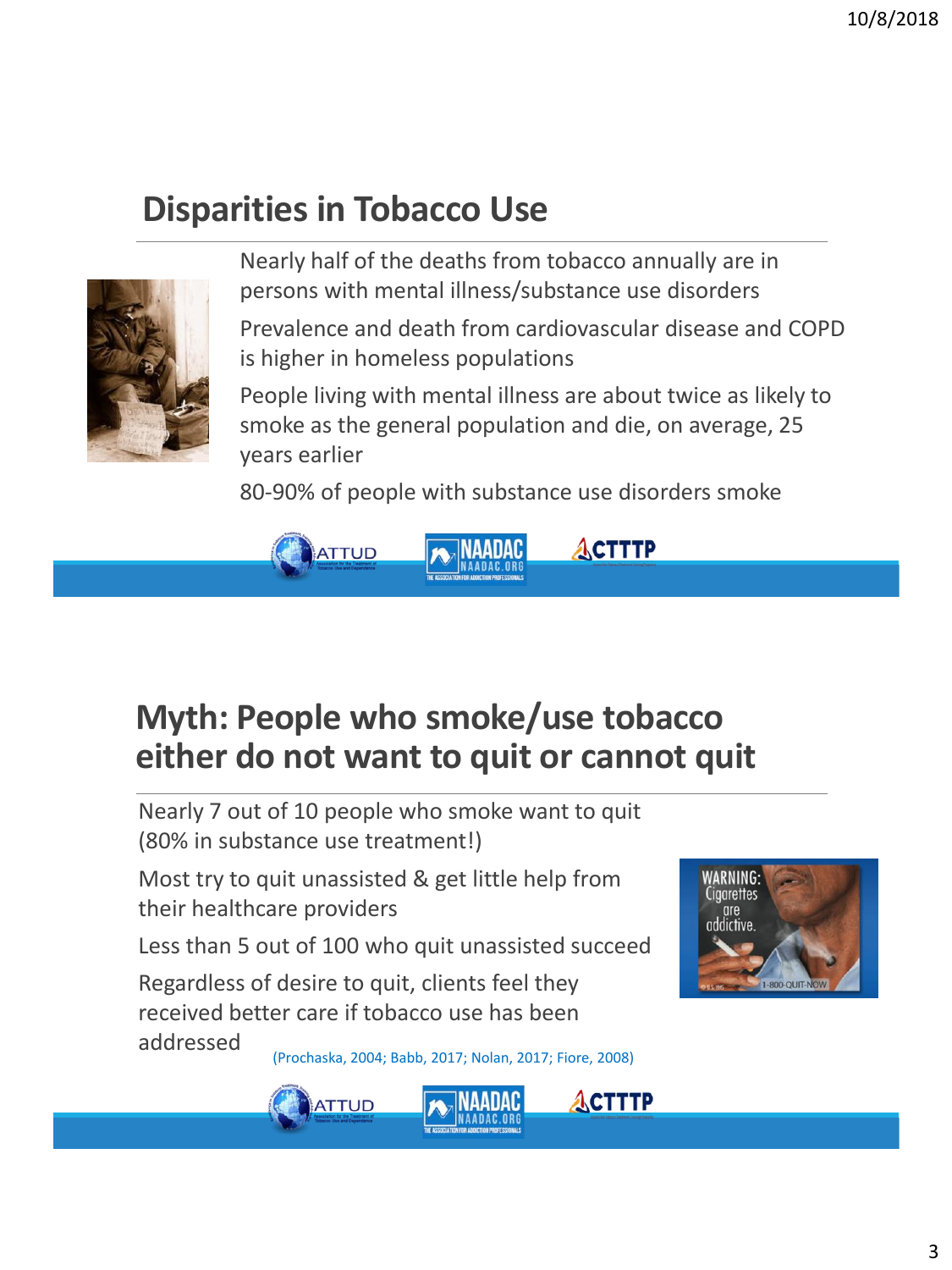#### **Disparities in Tobacco Use**



Nearly half of the deaths from tobacco annually are in persons with mental illness/substance use disorders

Prevalence and death from cardiovascular disease and COPD is higher in homeless populations

People living with mental illness are about twice as likely to smoke as the general population and die, on average, 25 years earlier

80-90% of people with substance use disorders smoke



#### **Myth: People who smoke/use tobacco either do not want to quit or cannot quit**

Nearly 7 out of 10 people who smoke want to quit (80% in substance use treatment!)

Most try to quit unassisted & get little help from their healthcare providers

Less than 5 out of 100 who quit unassisted succeed

Regardless of desire to quit, clients feel they received better care if tobacco use has been addressed

(Prochaska, 2004; Babb, 2017; Nolan, 2017; Fiore, 2008)





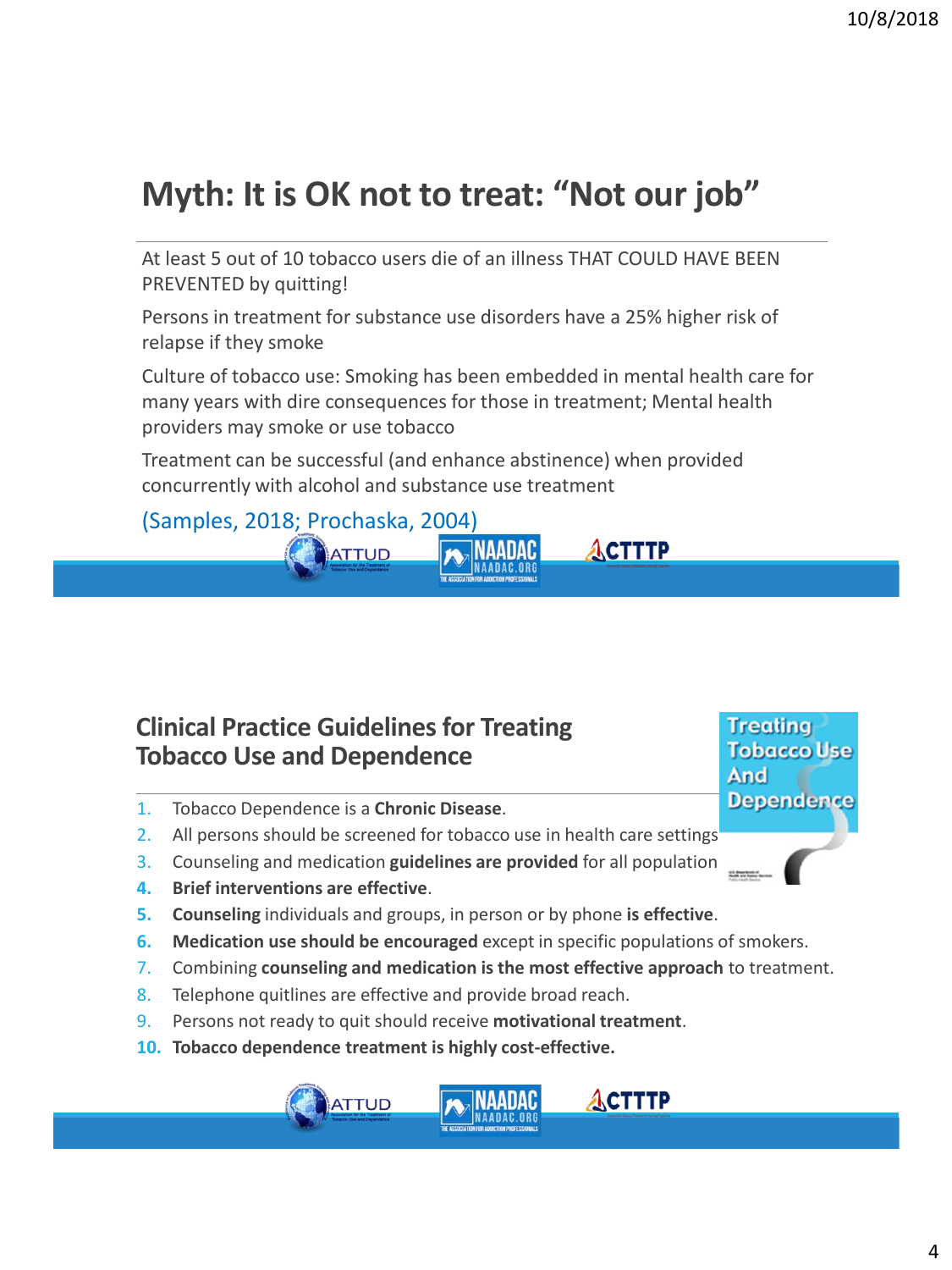#### **Myth: It is OK not to treat: "Not our job"**

At least 5 out of 10 tobacco users die of an illness THAT COULD HAVE BEEN PREVENTED by quitting!

Persons in treatment for substance use disorders have a 25% higher risk of relapse if they smoke

Culture of tobacco use: Smoking has been embedded in mental health care for many years with dire consequences for those in treatment; Mental health providers may smoke or use tobacco

ACTTTP

**ACTTTP** 

**Treating Tobacco Use** 

**Dependence** 

And

Treatment can be successful (and enhance abstinence) when provided concurrently with alcohol and substance use treatment

(Samples, 2018; Prochaska, 2004) ΝΔΔΠΔΩ

**ATTUD** 

#### **Clinical Practice Guidelines for Treating Tobacco Use and Dependence**

- 1. Tobacco Dependence is a **Chronic Disease**.
- 2. All persons should be screened for tobacco use in health care settings
- 3. Counseling and medication guidelines are provided for all population
- **4. Brief interventions are effective**.
- **5. Counseling** individuals and groups, in person or by phone **is effective**.
- **6. Medication use should be encouraged** except in specific populations of smokers.
- 7. Combining **counseling and medication is the most effective approach** to treatment.
- 8. Telephone quitlines are effective and provide broad reach.
- 9. Persons not ready to quit should receive **motivational treatment**.
- **10. Tobacco dependence treatment is highly cost-effective.**

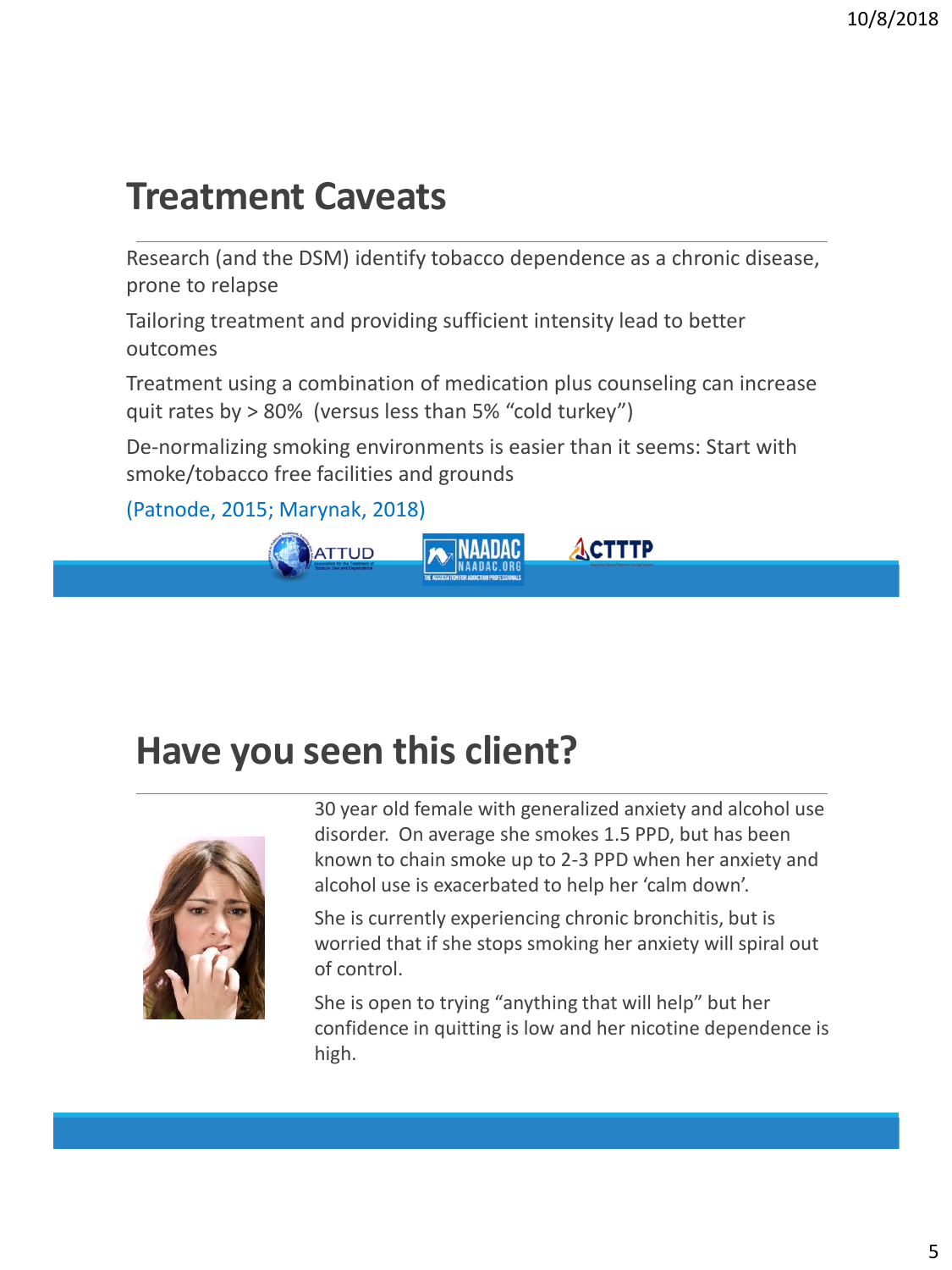#### **Treatment Caveats**

Research (and the DSM) identify tobacco dependence as a chronic disease, prone to relapse

Tailoring treatment and providing sufficient intensity lead to better outcomes

Treatment using a combination of medication plus counseling can increase quit rates by > 80% (versus less than 5% "cold turkey")

De-normalizing smoking environments is easier than it seems: Start with smoke/tobacco free facilities and grounds

(Patnode, 2015; Marynak, 2018)



### **Have you seen this client?**



30 year old female with generalized anxiety and alcohol use disorder. On average she smokes 1.5 PPD, but has been known to chain smoke up to 2-3 PPD when her anxiety and alcohol use is exacerbated to help her 'calm down'.

She is currently experiencing chronic bronchitis, but is worried that if she stops smoking her anxiety will spiral out of control.

She is open to trying "anything that will help" but her confidence in quitting is low and her nicotine dependence is high.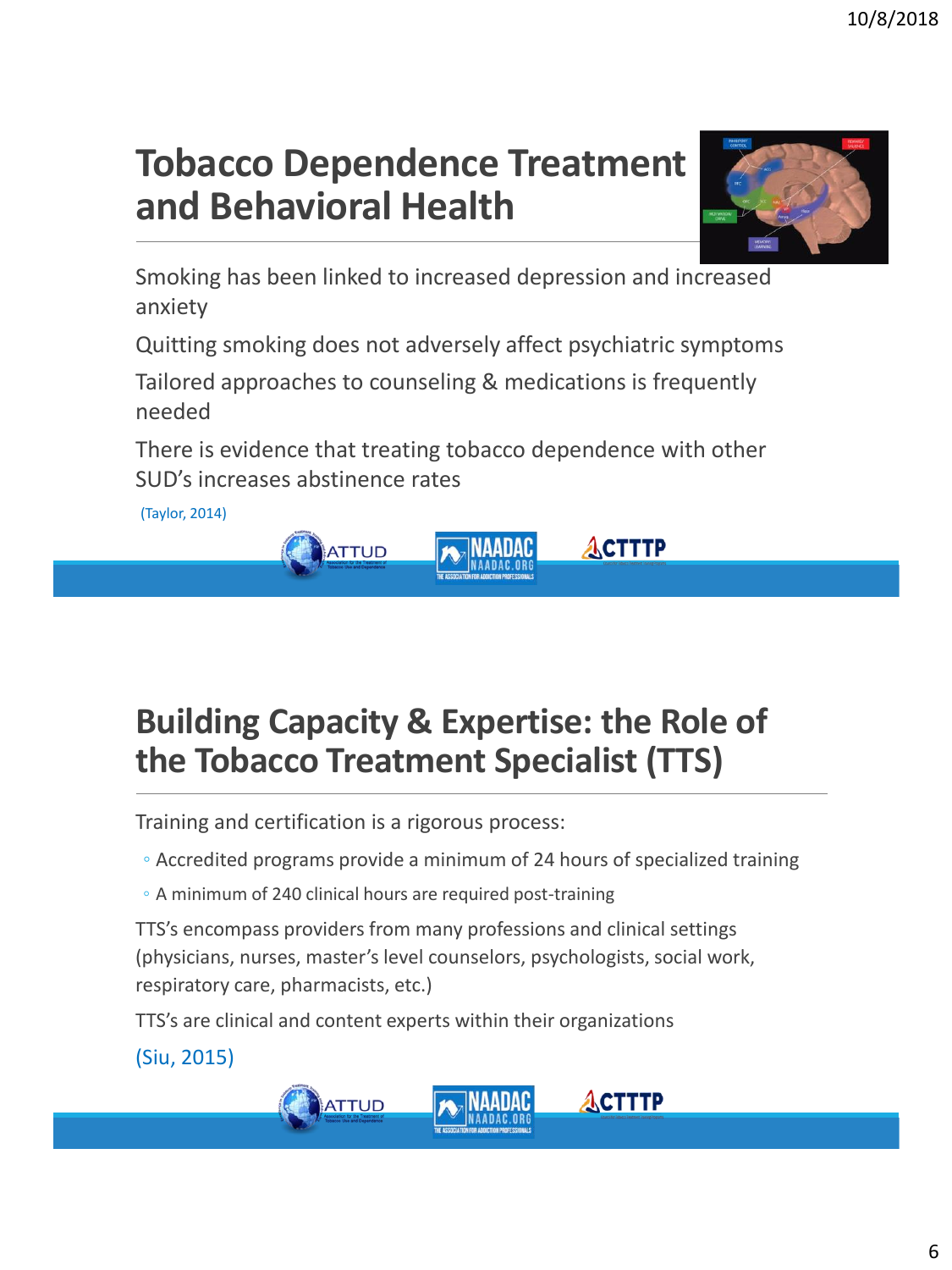6

### **Tobacco Dependence Treatment and Behavioral Health**

Smoking has been linked to increased depression and increased anxiety

Quitting smoking does not adversely affect psychiatric symptoms

Tailored approaches to counseling & medications is frequently needed

There is evidence that treating tobacco dependence with other SUD's increases abstinence rates

(Taylor, 2014)

#### **Building Capacity & Expertise: the Role of the Tobacco Treatment Specialist (TTS)**

Training and certification is a rigorous process:

**ATTUD** 

◦ Accredited programs provide a minimum of 24 hours of specialized training

◦ A minimum of 240 clinical hours are required post-training

TTS's encompass providers from many professions and clinical settings (physicians, nurses, master's level counselors, psychologists, social work, respiratory care, pharmacists, etc.)

TTS's are clinical and content experts within their organizations

(Siu, 2015)





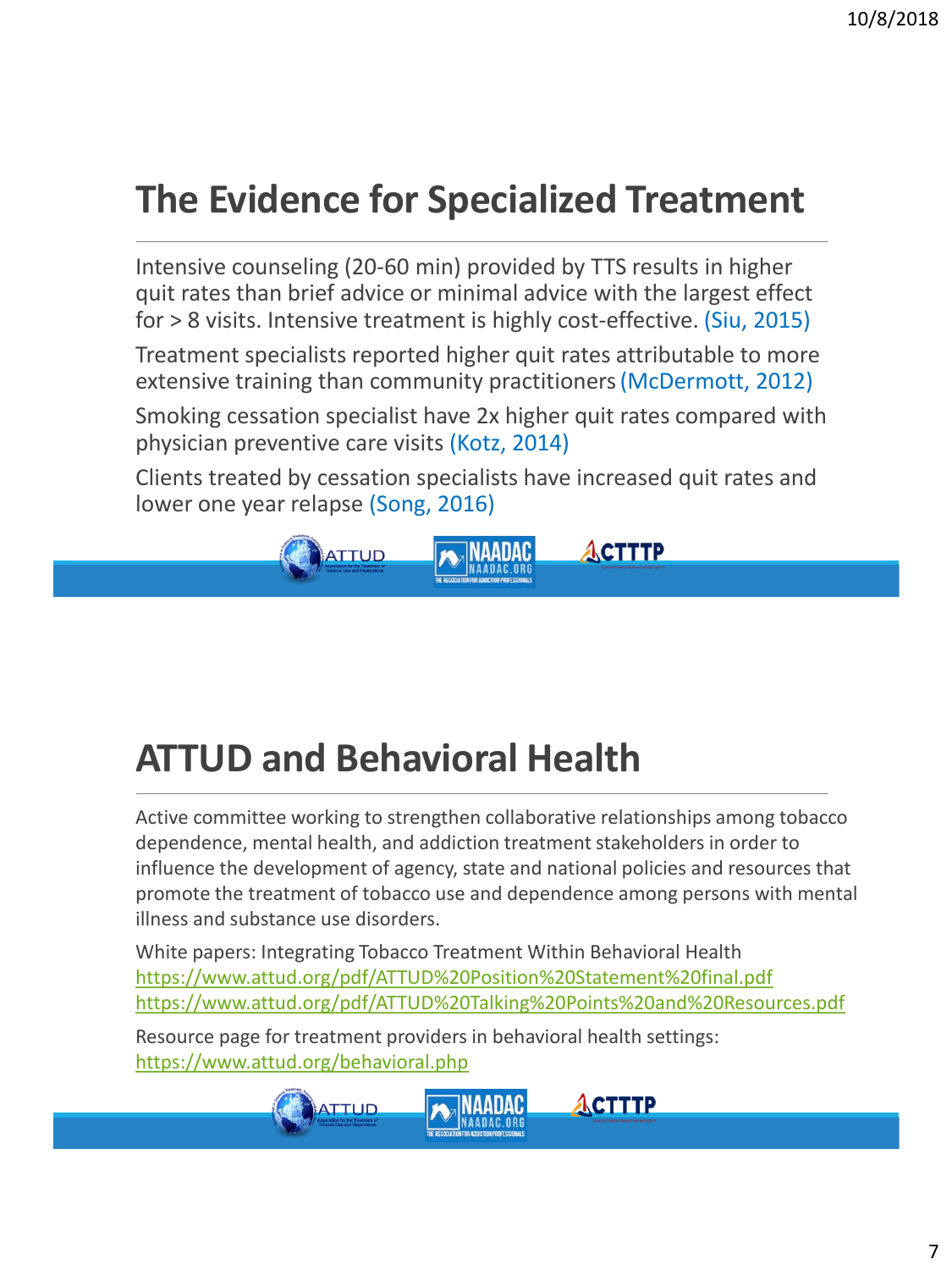### **The Evidence for Specialized Treatment**

Intensive counseling (20-60 min) provided by TTS results in higher quit rates than brief advice or minimal advice with the largest effect for > 8 visits. Intensive treatment is highly cost-effective. (Siu, 2015)

Treatment specialists reported higher quit rates attributable to more extensive training than community practitioners(McDermott, 2012)

Smoking cessation specialist have 2x higher quit rates compared with physician preventive care visits (Kotz, 2014)

Clients treated by cessation specialists have increased quit rates and lower one year relapse (Song, 2016)



### **ATTUD and Behavioral Health**

Active committee working to strengthen collaborative relationships among tobacco dependence, mental health, and addiction treatment stakeholders in order to influence the development of agency, state and national policies and resources that promote the treatment of tobacco use and dependence among persons with mental illness and substance use disorders.

White papers: Integrating Tobacco Treatment Within Behavioral Health [https://www.attud.org/pdf/ATTUD%20Position%20Statement%20final.pdf](https://www.attud.org/pdf/ATTUD Position Statement final.pdf) [https://www.attud.org/pdf/ATTUD%20Talking%20Points%20and%20Resources.pdf](https://www.attud.org/pdf/ATTUD Talking Points and Resources.pdf)

**ACTTTP** 

Resource page for treatment providers in behavioral health settings: <https://www.attud.org/behavioral.php>

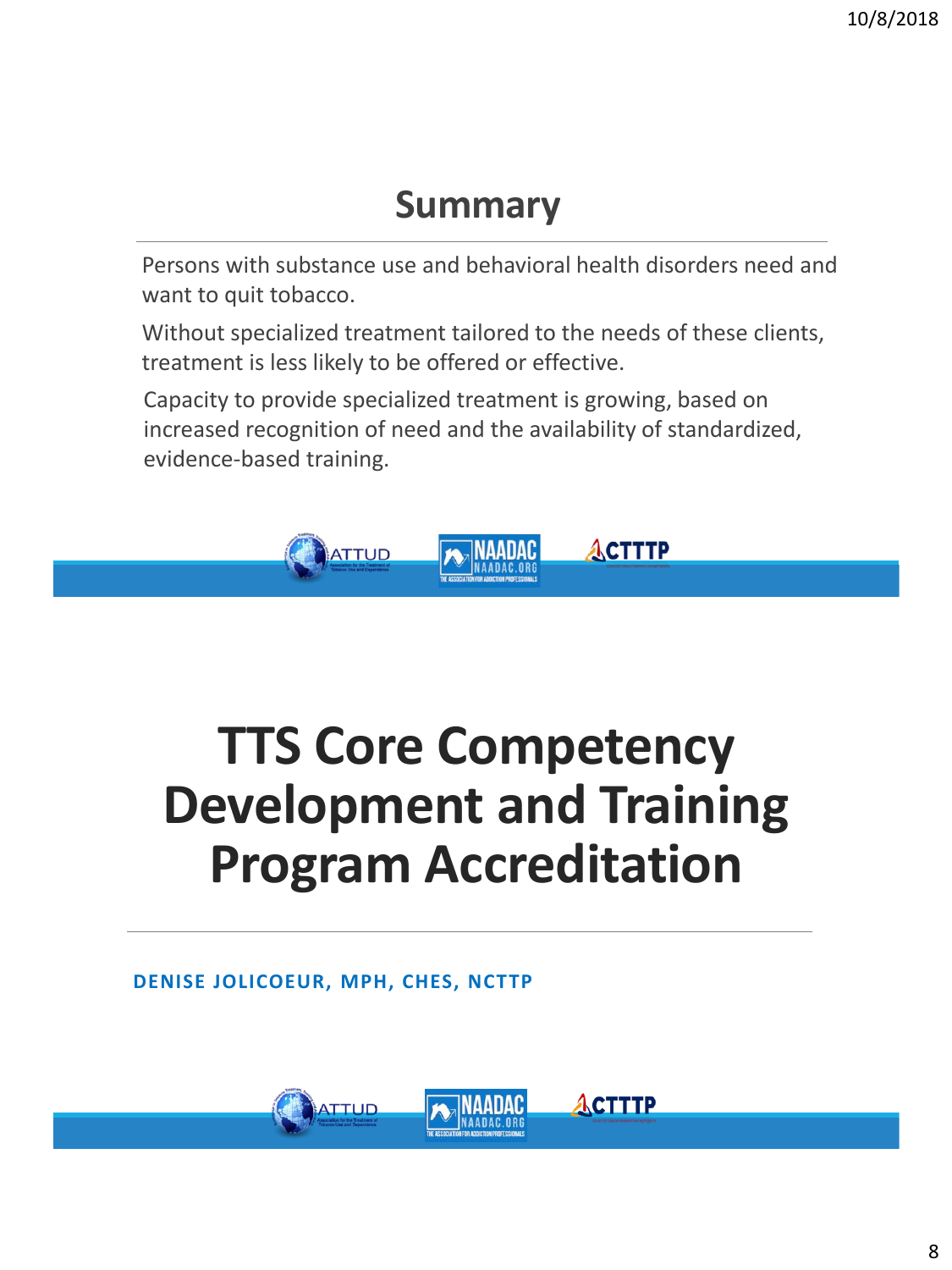#### **Summary**

Persons with substance use and behavioral health disorders need and want to quit tobacco.

Without specialized treatment tailored to the needs of these clients, treatment is less likely to be offered or effective.

Capacity to provide specialized treatment is growing, based on increased recognition of need and the availability of standardized, evidence-based training.



# **TTS Core Competency Development and Training Program Accreditation**

ACTTTP

**DENISE JOLICOEUR, MPH, CHES, NCTTP**

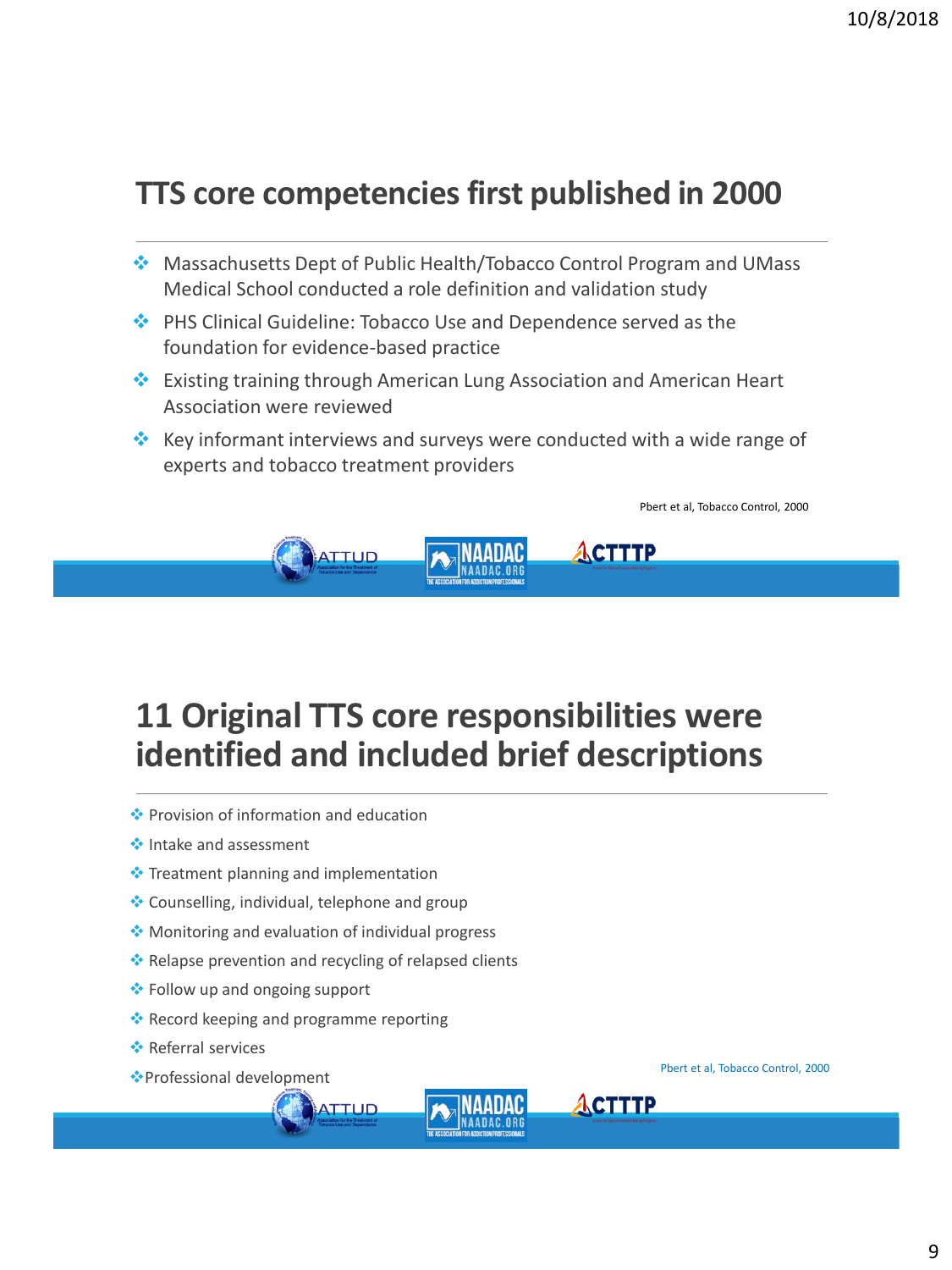#### **TTS core competencies first published in 2000**

- ❖ Massachusetts Dept of Public Health/Tobacco Control Program and UMass Medical School conducted a role definition and validation study
- ❖ PHS Clinical Guideline: Tobacco Use and Dependence served as the foundation for evidence-based practice
- ❖ Existing training through American Lung Association and American Heart Association were reviewed
- ❖ Key informant interviews and surveys were conducted with a wide range of experts and tobacco treatment providers



#### **11 Original TTS core responsibilities were identified and included brief descriptions**

- ❖ Provision of information and education
- ❖ Intake and assessment
- ❖ Treatment planning and implementation
- ❖ Counselling, individual, telephone and group
- ❖ Monitoring and evaluation of individual progress
- ❖ Relapse prevention and recycling of relapsed clients

**ATTUD** 

- ❖ Follow up and ongoing support
- ❖ Record keeping and programme reporting
- ❖ Referral services
- ❖Professional development Pbert et al, Tobacco Control, 2000

ACTTTP

Pbert et al, Tobacco Control, 2000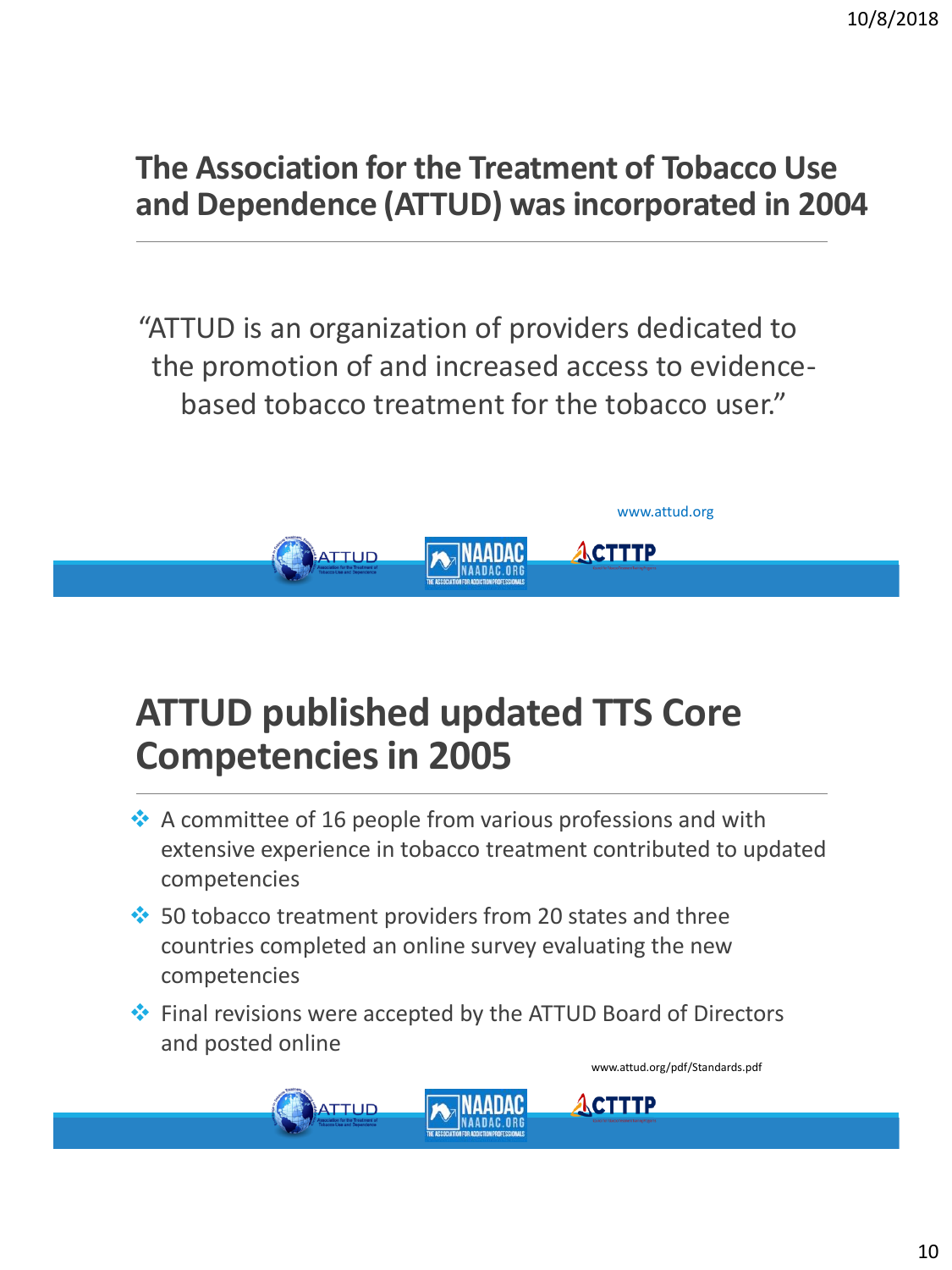#### **The Association for the Treatment of Tobacco Use and Dependence (ATTUD) was incorporated in 2004**

"ATTUD is an organization of providers dedicated to the promotion of and increased access to evidencebased tobacco treatment for the tobacco user."



### **ATTUD published updated TTS Core Competencies in 2005**

- ❖ A committee of 16 people from various professions and with extensive experience in tobacco treatment contributed to updated competencies
- ❖ 50 tobacco treatment providers from 20 states and three countries completed an online survey evaluating the new competencies

**ATTUD** 

❖ Final revisions were accepted by the ATTUD Board of Directors and posted online

www.attud.org/pdf/Standards.pdf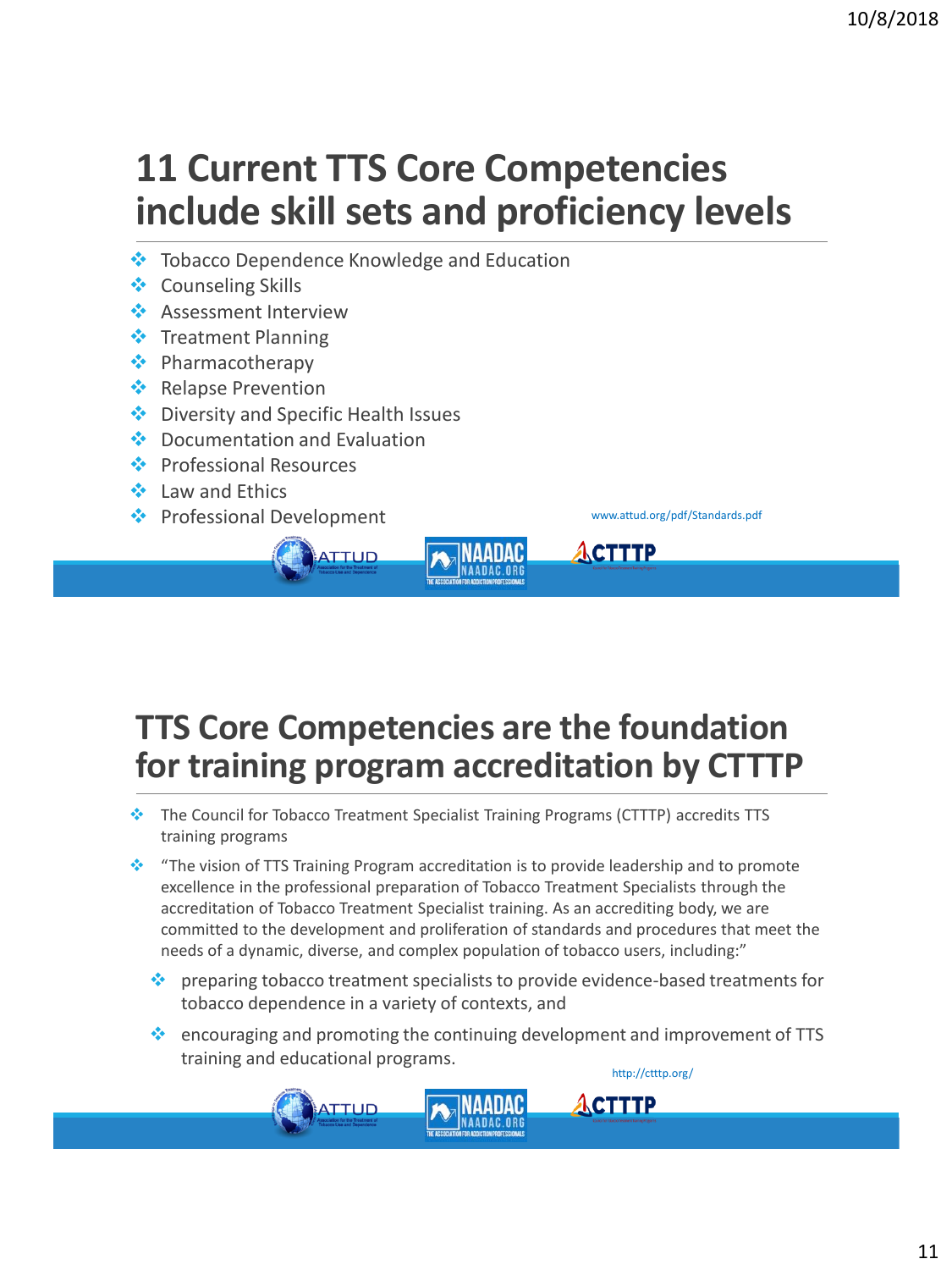### **11 Current TTS Core Competencies include skill sets and proficiency levels**

❖ Tobacco Dependence Knowledge and Education

ATTUD

**ATTUD** 

- ❖ Counseling Skills
- **❖** Assessment Interview
- ❖ Treatment Planning
- ❖ Pharmacotherapy
- ❖ Relapse Prevention
- ❖ Diversity and Specific Health Issues
- ❖ Documentation and Evaluation
- ❖ Professional Resources
- ❖ Law and Ethics
- ❖ Professional Development www.attud.org/pdf/Standards.pdf



**CTTTP** 

ACTTTP

#### **TTS Core Competencies are the foundation for training program accreditation by CTTTP**

- ❖ The Council for Tobacco Treatment Specialist Training Programs (CTTTP) accredits TTS training programs
- ❖ "The vision of TTS Training Program accreditation is to provide leadership and to promote excellence in the professional preparation of Tobacco Treatment Specialists through the accreditation of Tobacco Treatment Specialist training. As an accrediting body, we are committed to the development and proliferation of standards and procedures that meet the needs of a dynamic, diverse, and complex population of tobacco users, including:"
	- ❖ preparing tobacco treatment specialists to provide evidence-based treatments for tobacco dependence in a variety of contexts, and
	- ❖ encouraging and promoting the continuing development and improvement of TTS training and educational programs. http://ctttp.org/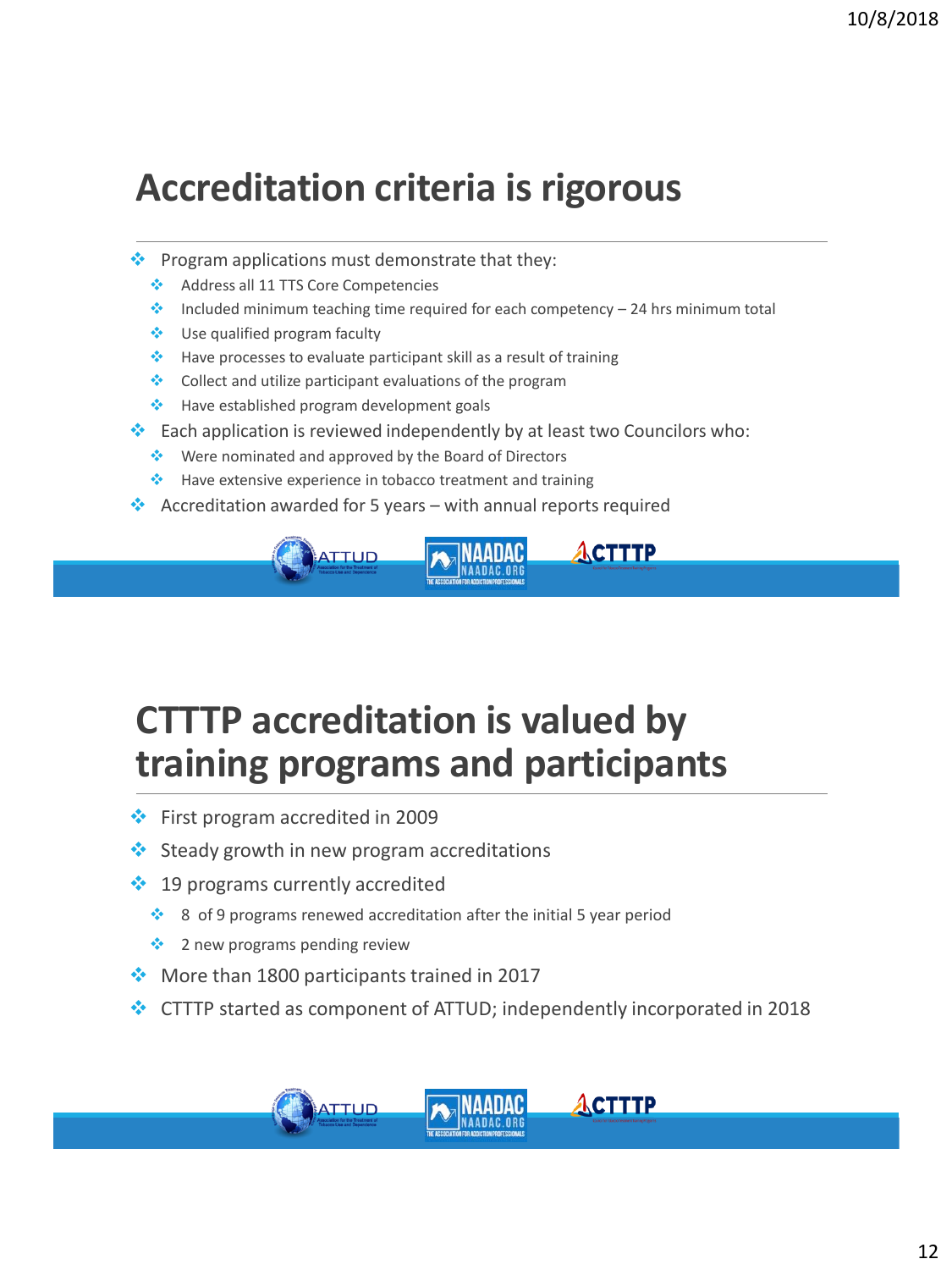#### **Accreditation criteria is rigorous**

- $\cdot$  Program applications must demonstrate that they:
	- ❖ Address all 11 TTS Core Competencies
	- $\cdot$  Included minimum teaching time required for each competency 24 hrs minimum total
	- ❖ Use qualified program faculty
	- ❖ Have processes to evaluate participant skill as a result of training
	- ❖ Collect and utilize participant evaluations of the program
	- ❖ Have established program development goals
- ❖ Each application is reviewed independently by at least two Councilors who:
	- ❖ Were nominated and approved by the Board of Directors
	- ❖ Have extensive experience in tobacco treatment and training
- $\cdot$  Accreditation awarded for 5 years with annual reports required



### **CTTTP accreditation is valued by training programs and participants**

- ❖ First program accredited in 2009
- ❖ Steady growth in new program accreditations
- ❖ 19 programs currently accredited
	- ❖ 8 of 9 programs renewed accreditation after the initial 5 year period
	- ❖ 2 new programs pending review
- ❖ More than 1800 participants trained in 2017
- ❖ CTTTP started as component of ATTUD; independently incorporated in 2018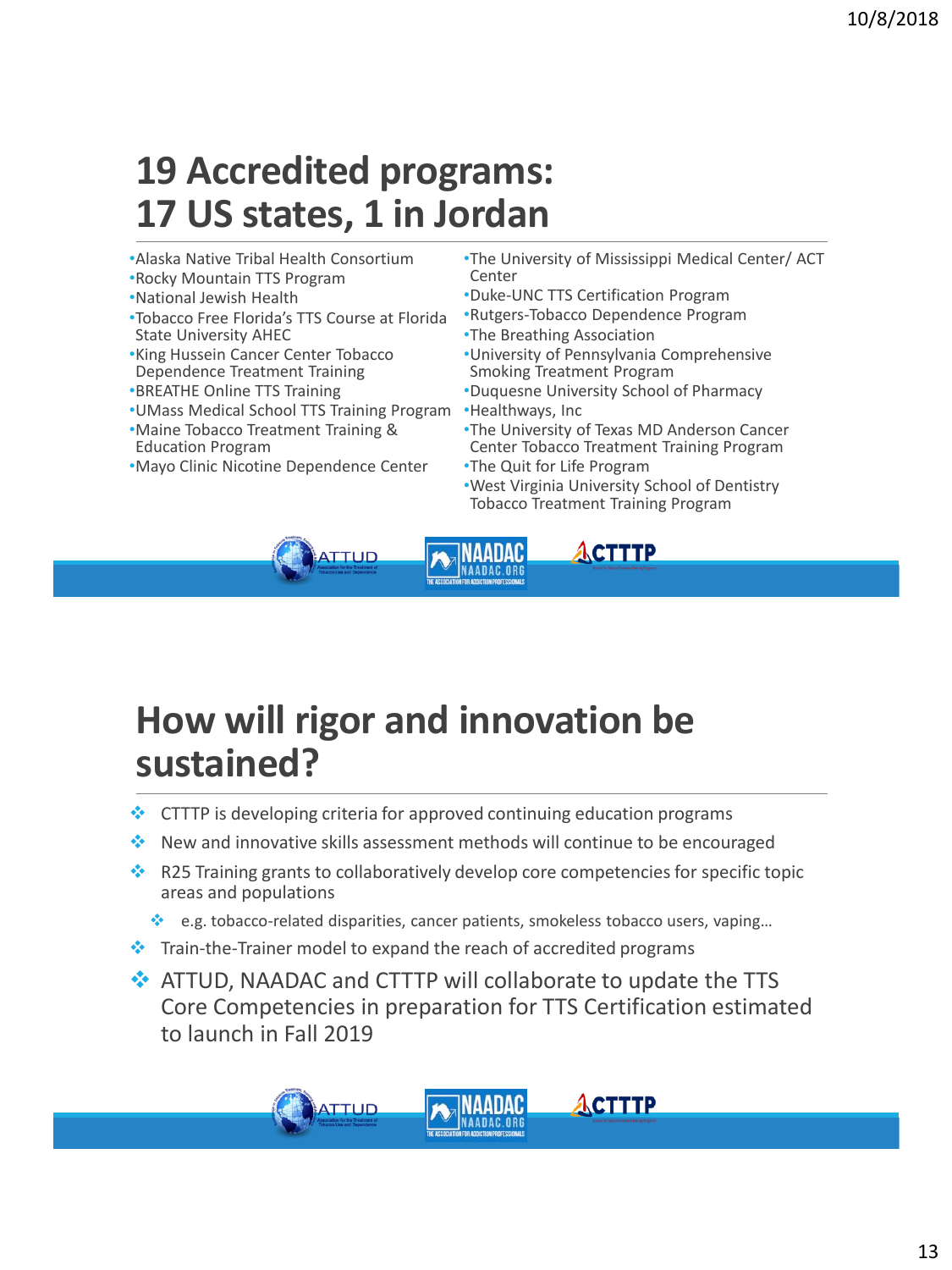#### **19 Accredited programs: 17 US states, 1 in Jordan**

- •Alaska Native Tribal Health Consortium
- •Rocky Mountain TTS Program
- •National Jewish Health
- •Tobacco Free Florida's TTS Course at Florida State University AHEC
- •King Hussein Cancer Center Tobacco Dependence Treatment Training
- •BREATHE Online TTS Training
- •UMass Medical School TTS Training Program
- •Maine Tobacco Treatment Training & Education Program
- •Mayo Clinic Nicotine Dependence Center
- •The University of Mississippi Medical Center/ ACT Center
- •Duke-UNC TTS Certification Program
- •Rutgers-Tobacco Dependence Program
- •The Breathing Association
- •University of Pennsylvania Comprehensive Smoking Treatment Program
- •Duquesne University School of Pharmacy
- •Healthways, Inc
- •The University of Texas MD Anderson Cancer Center Tobacco Treatment Training Program
- •The Quit for Life Program
- •West Virginia University School of Dentistry Tobacco Treatment Training Program

ACTTTP



#### **How will rigor and innovation be sustained?**

- ❖ CTTTP is developing criteria for approved continuing education programs
- ❖ New and innovative skills assessment methods will continue to be encouraged
- ❖ R25 Training grants to collaboratively develop core competencies for specific topic areas and populations
	- ❖ e.g. tobacco-related disparities, cancer patients, smokeless tobacco users, vaping…
- ❖ Train-the-Trainer model to expand the reach of accredited programs
- ❖ ATTUD, NAADAC and CTTTP will collaborate to update the TTS Core Competencies in preparation for TTS Certification estimated to launch in Fall 2019



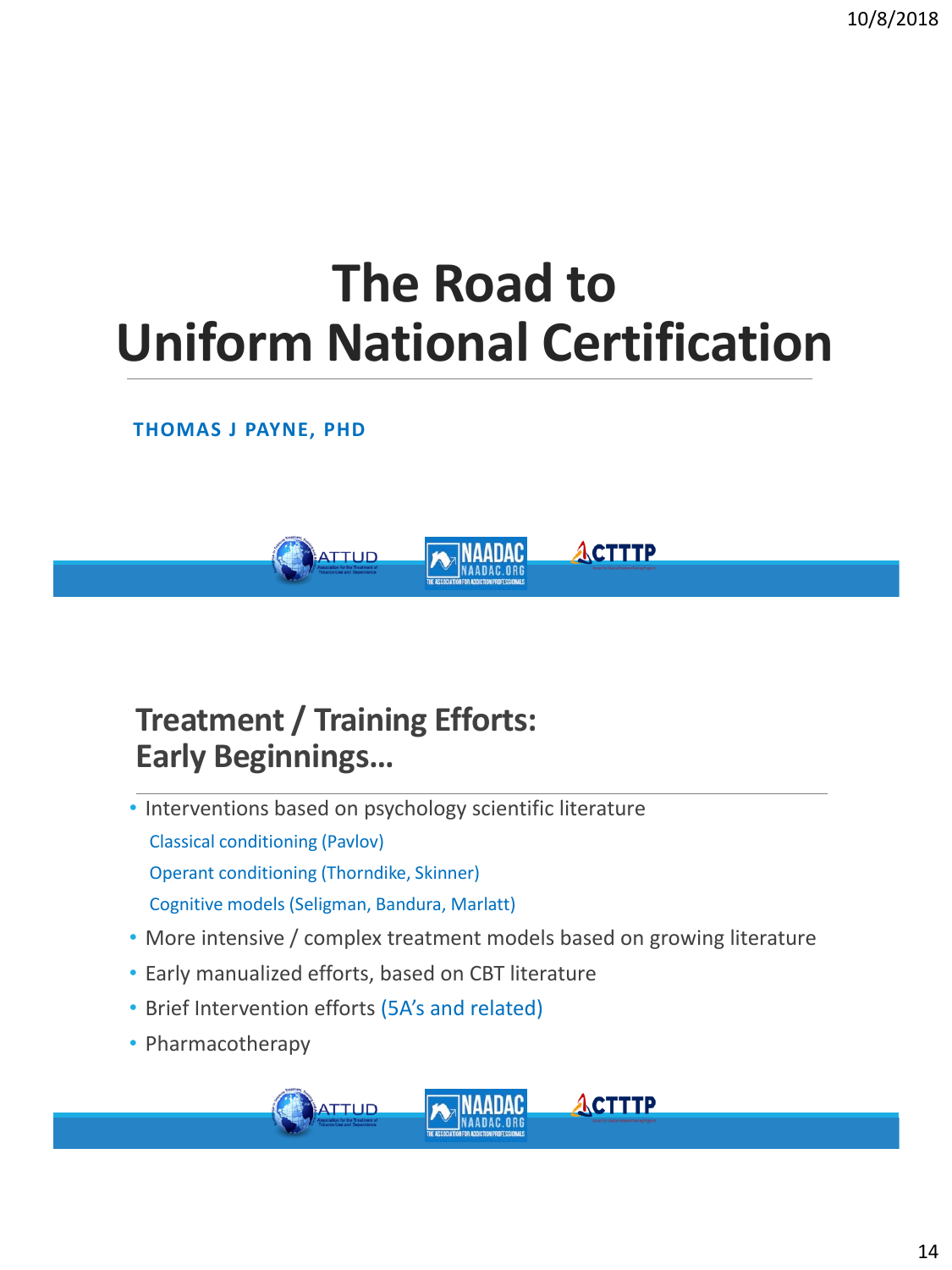## **The Road to Uniform National Certification**

#### **THOMAS J PAYNE, PHD**



#### **Treatment / Training Efforts: Early Beginnings…**

- Interventions based on psychology scientific literature Classical conditioning (Pavlov) Operant conditioning (Thorndike, Skinner) Cognitive models (Seligman, Bandura, Marlatt)
- More intensive / complex treatment models based on growing literature

- Early manualized efforts, based on CBT literature
- Brief Intervention efforts (5A's and related)
- Pharmacotherapy

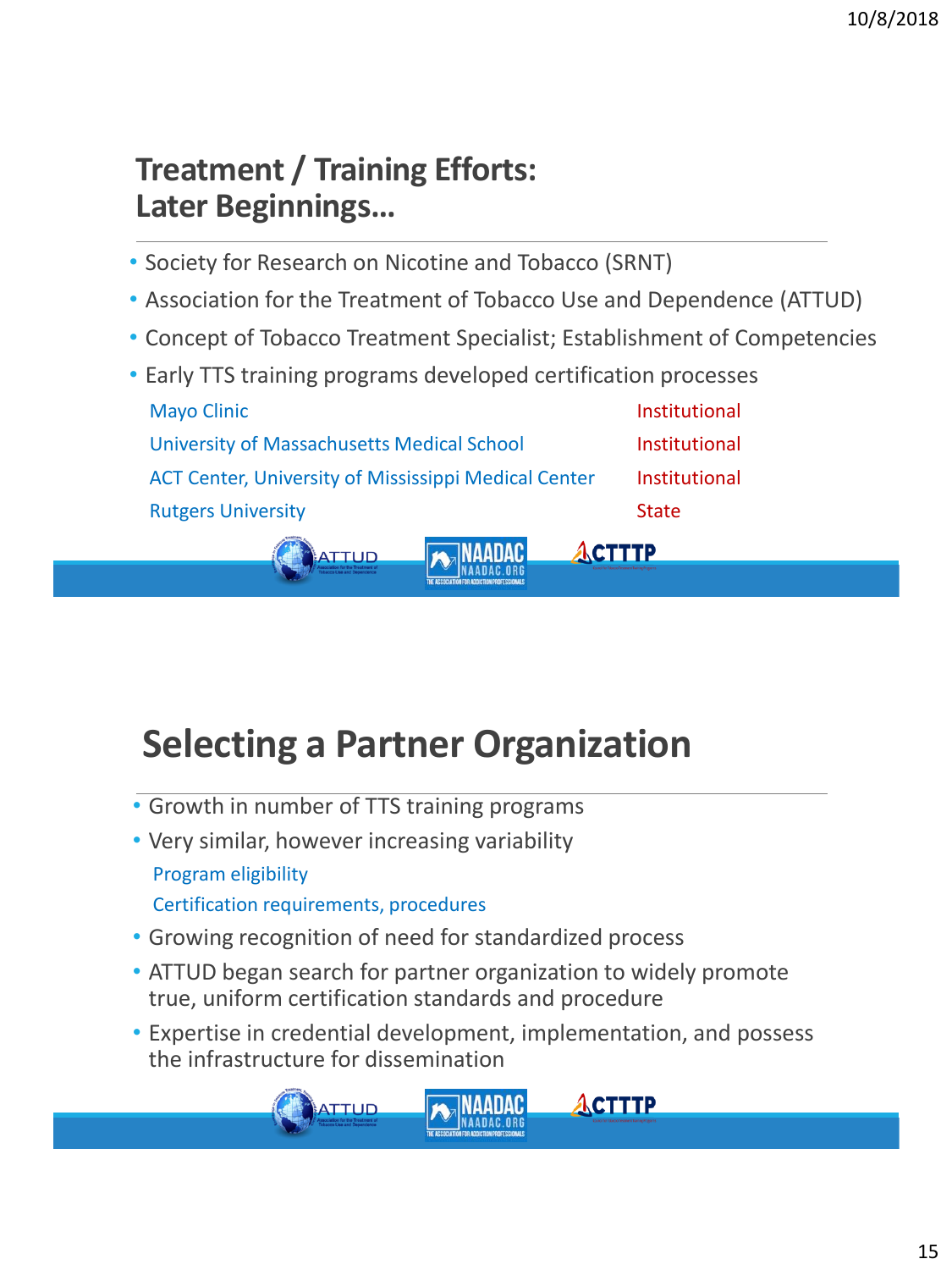#### **Treatment / Training Efforts: Later Beginnings…**

- Society for Research on Nicotine and Tobacco (SRNT)
- Association for the Treatment of Tobacco Use and Dependence (ATTUD)
- Concept of Tobacco Treatment Specialist; Establishment of Competencies

**ACTTTP** 

• Early TTS training programs developed certification processes Mayo Clinic **Institutional** University of Massachusetts Medical School **Institutional** ACT Center, University of Mississippi Medical Center Institutional Rutgers University **State** State State State



• Growth in number of TTS training programs

**ATTUD** 

- Very similar, however increasing variability Program eligibility Certification requirements, procedures
- Growing recognition of need for standardized process
- ATTUD began search for partner organization to widely promote true, uniform certification standards and procedure
- Expertise in credential development, implementation, and possess the infrastructure for dissemination

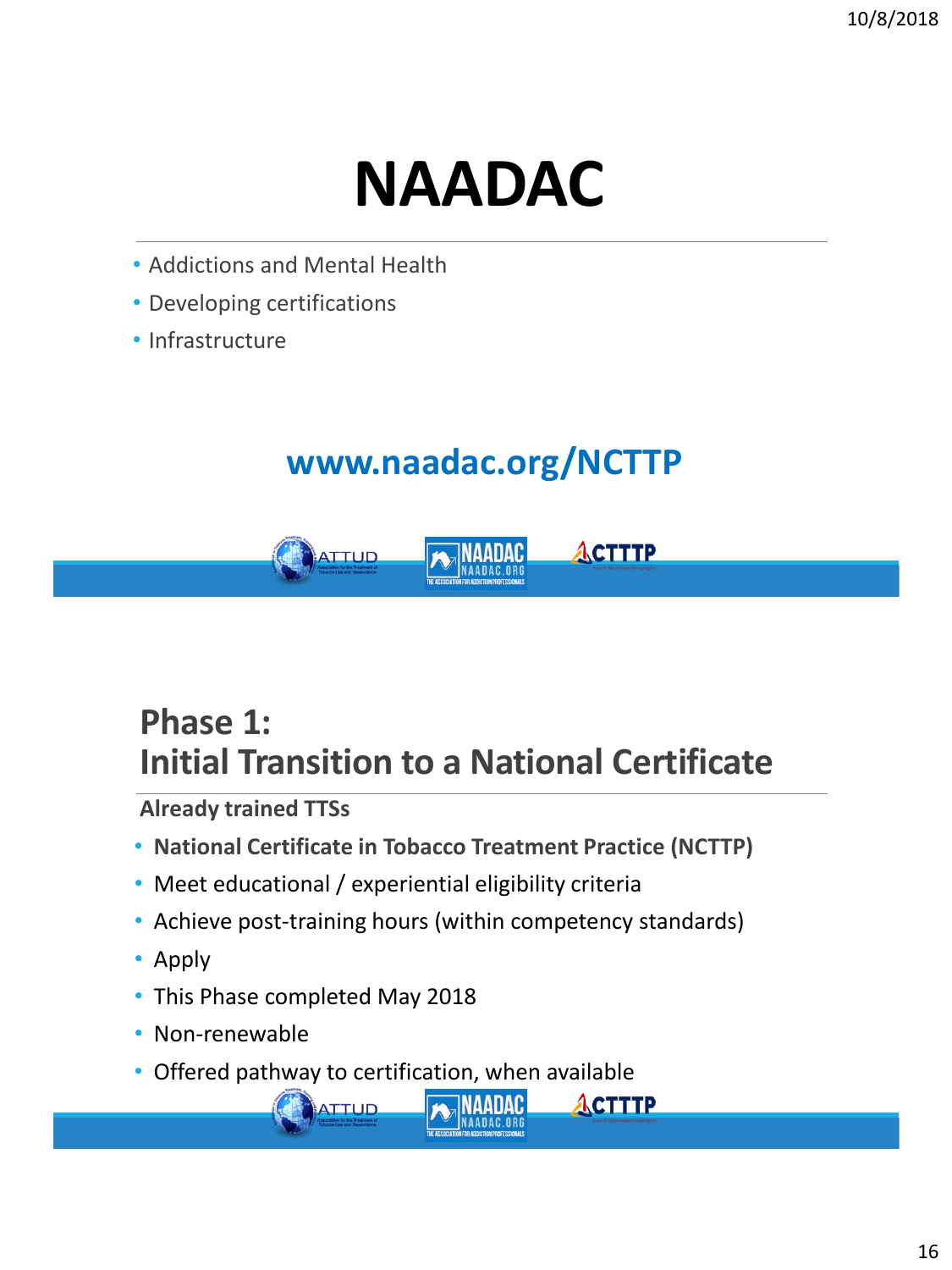# **NAADAC**

- Addictions and Mental Health
- Developing certifications
- Infrastructure

#### **www.naadac.org/NCTTP**



#### **Phase 1: Initial Transition to a National Certificate**

**Already trained TTSs**

- **National Certificate in Tobacco Treatment Practice (NCTTP)**
- Meet educational / experiential eligibility criteria
- Achieve post-training hours (within competency standards)

INAADAC

**ACTTTP** 

- Apply
- This Phase completed May 2018

ATTUD

- Non-renewable
- Offered pathway to certification, when available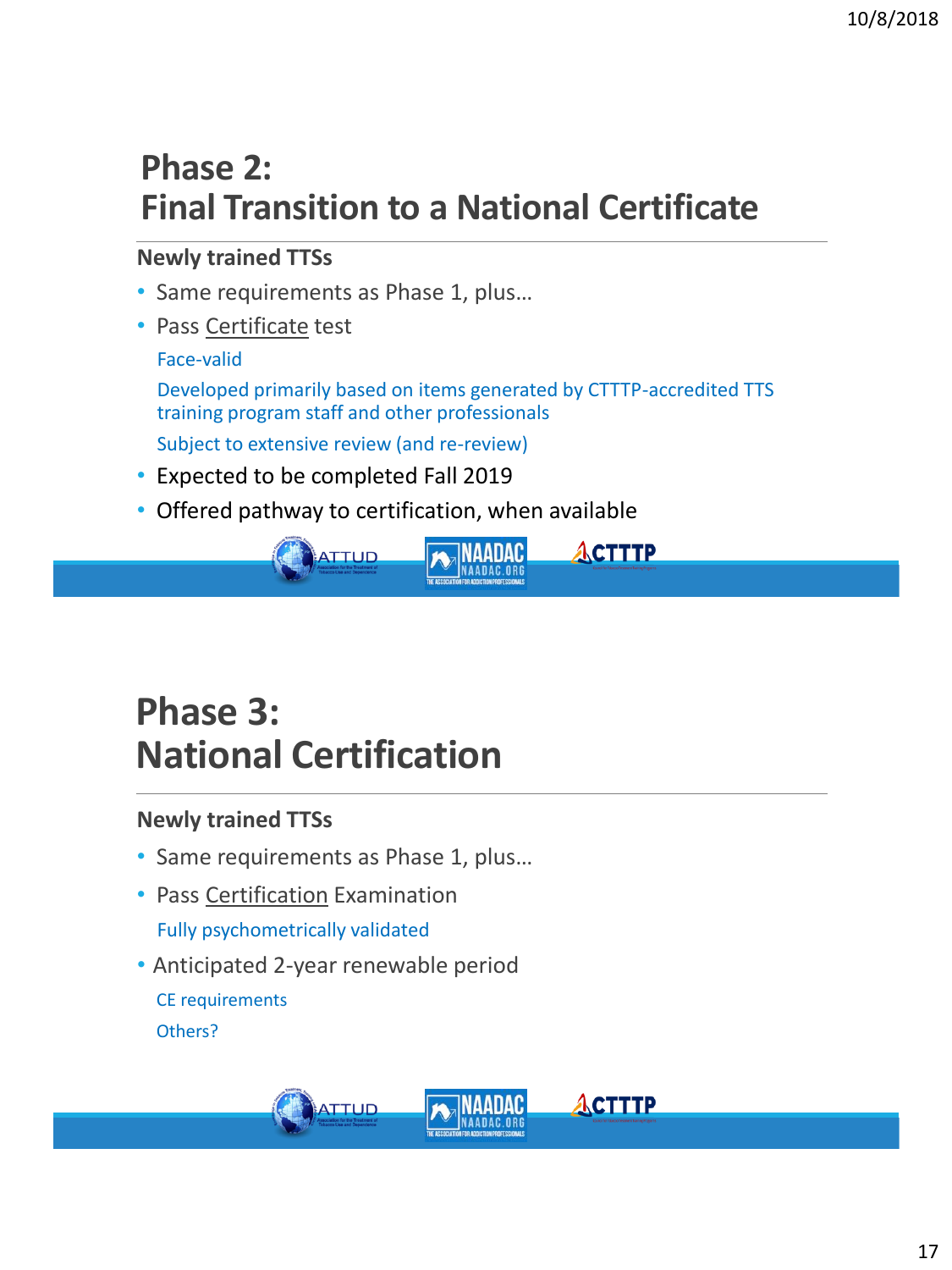#### **Phase 2: Final Transition to a National Certificate**

#### **Newly trained TTSs**

- Same requirements as Phase 1, plus…
- Pass Certificate test

#### Face-valid

Developed primarily based on items generated by CTTTP-accredited TTS training program staff and other professionals

Subject to extensive review (and re-review)

- Expected to be completed Fall 2019
- Offered pathway to certification, when available



**ACTTTP** 

#### **Phase 3: National Certification**

#### **Newly trained TTSs**

- Same requirements as Phase 1, plus…
- Pass Certification Examination Fully psychometrically validated
- Anticipated 2-year renewable period

CE requirements Others?

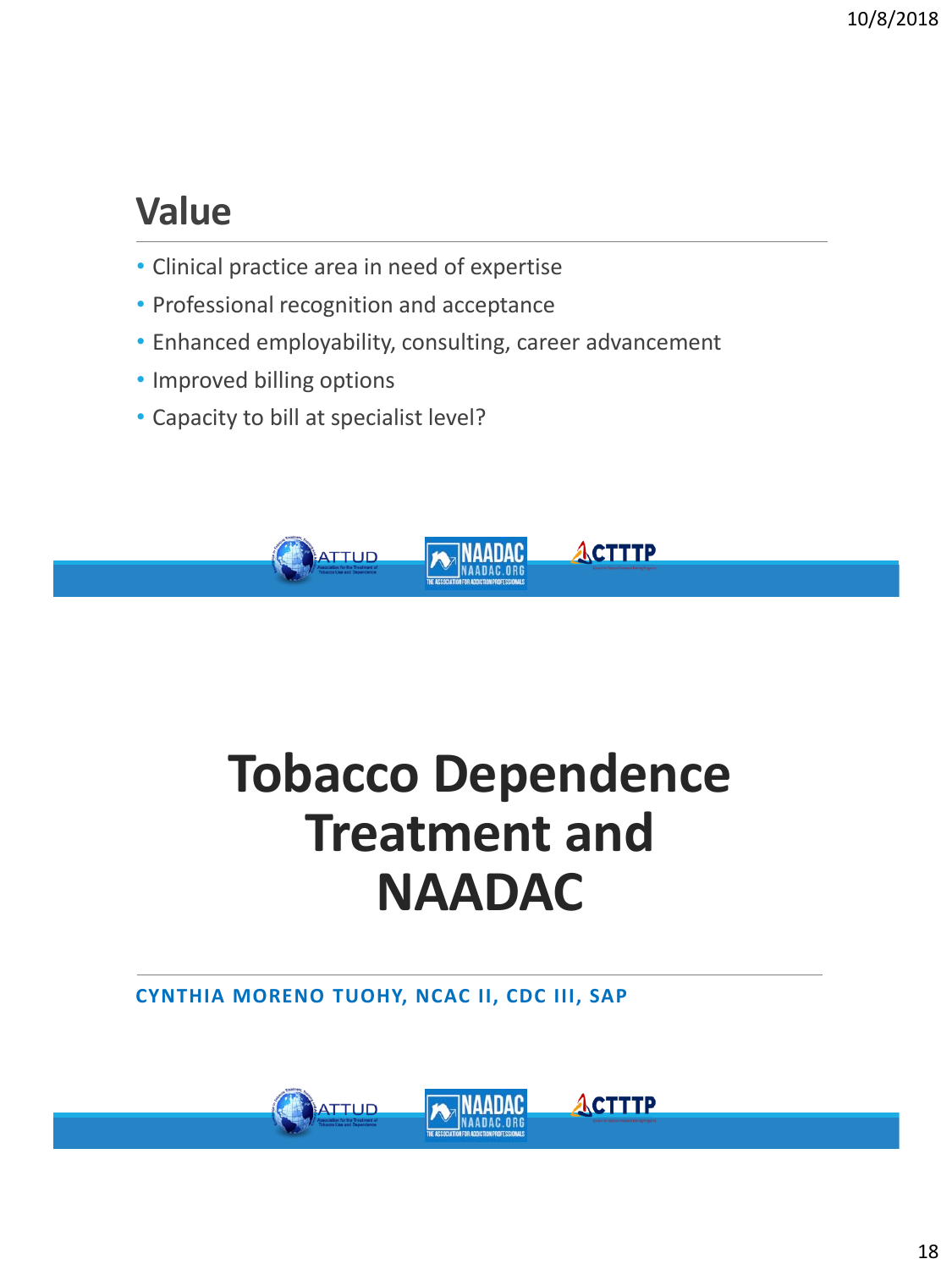### **Value**

- Clinical practice area in need of expertise
- Professional recognition and acceptance
- Enhanced employability, consulting, career advancement
- Improved billing options
- Capacity to bill at specialist level?



## **Tobacco Dependence Treatment and NAADAC**

**CYNTHIA MORENO TUOHY, NCAC II, CDC III, SAP**

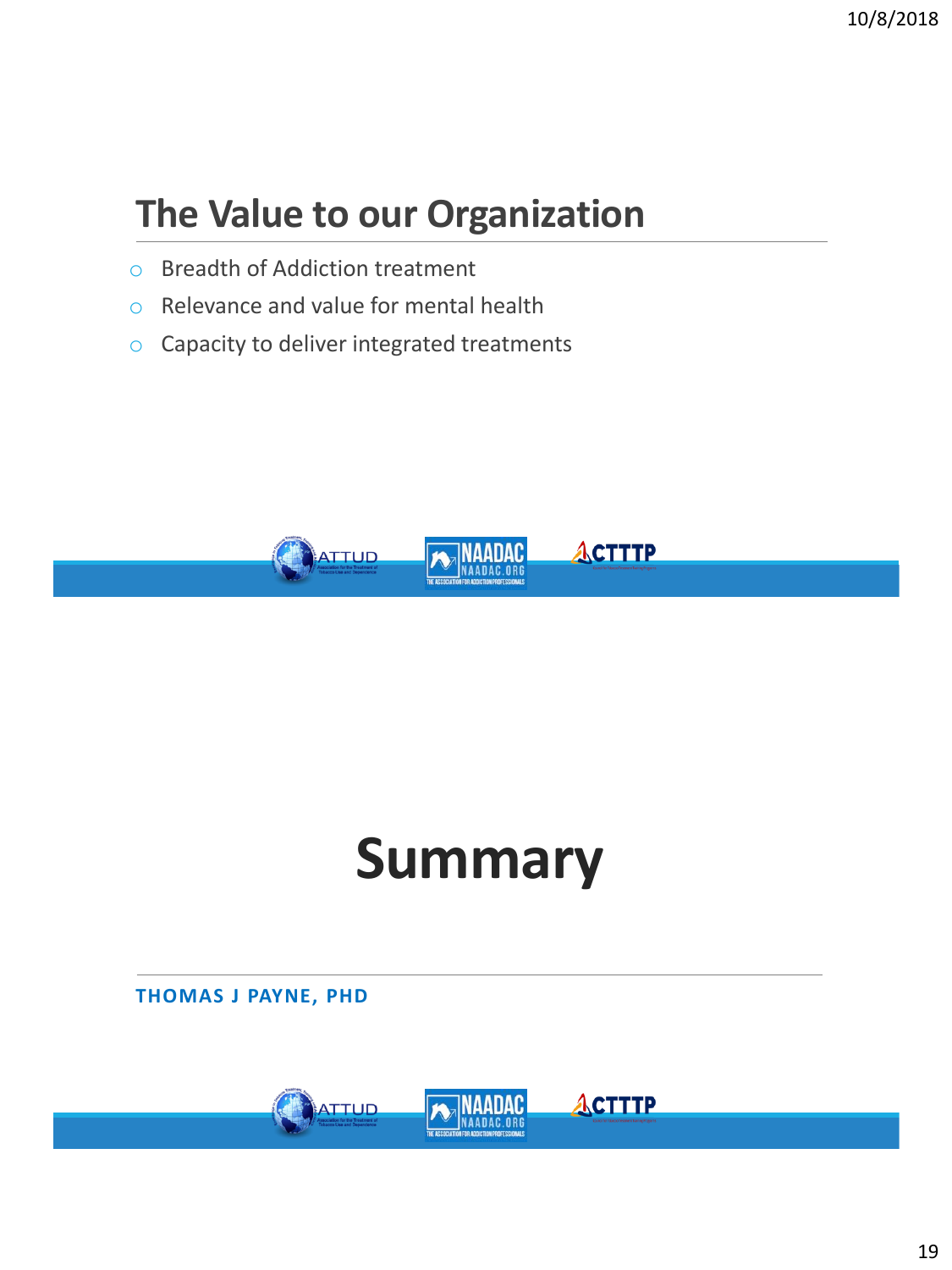### **The Value to our Organization**

- o Breadth of Addiction treatment
- o Relevance and value for mental health
- o Capacity to deliver integrated treatments



# **Summary**

**THOMAS J PAYNE, PHD**